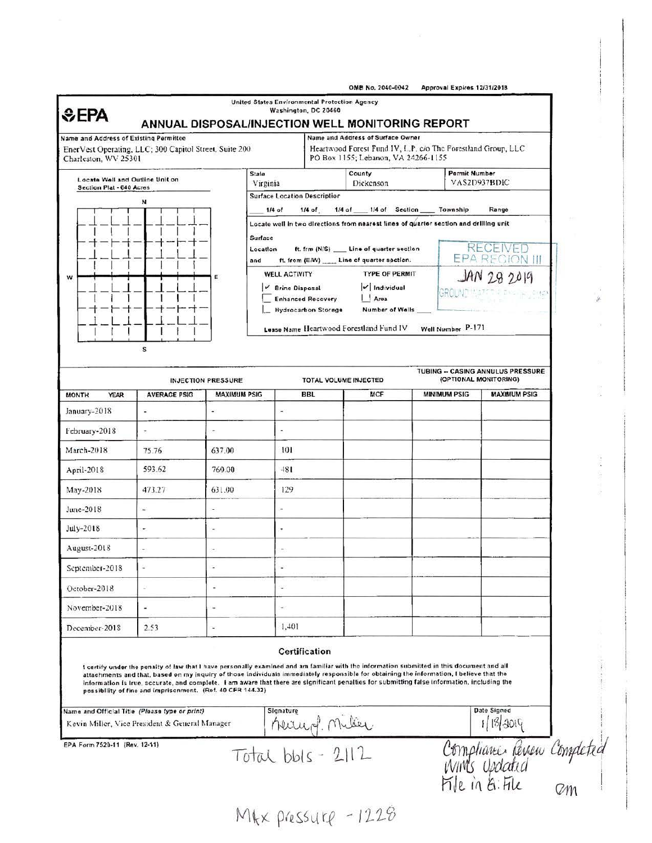| Name and Address of Existing Permittee                                         | ANNUAL DISPOSAL/INJECTION WELL MONITORING REPORT                                                                                                                                                                                                                                                                                                                                                                                                                                                     |                                                                          |                                                                      |                                                                                                     | Name and Address of Surface Owner                                                     |                                      |                                                            |                                                                    |  |
|--------------------------------------------------------------------------------|------------------------------------------------------------------------------------------------------------------------------------------------------------------------------------------------------------------------------------------------------------------------------------------------------------------------------------------------------------------------------------------------------------------------------------------------------------------------------------------------------|--------------------------------------------------------------------------|----------------------------------------------------------------------|-----------------------------------------------------------------------------------------------------|---------------------------------------------------------------------------------------|--------------------------------------|------------------------------------------------------------|--------------------------------------------------------------------|--|
| EnerVest Operating, LLC; 300 Capitol Street, Suite 200<br>Charleston, WV 25301 |                                                                                                                                                                                                                                                                                                                                                                                                                                                                                                      |                                                                          |                                                                      | Heartwood Forest Fund IV, L.P. c/o The Forestland Group, LLC<br>PO Box 1155; Lebanon, VA 24266-1155 |                                                                                       |                                      |                                                            |                                                                    |  |
| Locate Well and Outline Unit on                                                |                                                                                                                                                                                                                                                                                                                                                                                                                                                                                                      |                                                                          | County<br>State<br>Dickenson<br>Virginia                             |                                                                                                     |                                                                                       | <b>Permit Number</b><br>VAS2D937BDIC |                                                            |                                                                    |  |
| Section Plat - 640 Acres                                                       | N                                                                                                                                                                                                                                                                                                                                                                                                                                                                                                    |                                                                          | <b>Surface Location Description</b>                                  |                                                                                                     |                                                                                       |                                      |                                                            |                                                                    |  |
|                                                                                |                                                                                                                                                                                                                                                                                                                                                                                                                                                                                                      | $1/4$ of<br>1/4 of ___ 1/4 of Section ____ Township<br>Range<br>$1/4$ of |                                                                      |                                                                                                     |                                                                                       |                                      |                                                            |                                                                    |  |
|                                                                                |                                                                                                                                                                                                                                                                                                                                                                                                                                                                                                      |                                                                          |                                                                      |                                                                                                     | Locate well in two directions from nearest lines of quarter section and drilling unit |                                      |                                                            |                                                                    |  |
|                                                                                |                                                                                                                                                                                                                                                                                                                                                                                                                                                                                                      |                                                                          | Surface<br>ft. frm (N/S) __ Line of quarter section<br>Location      |                                                                                                     |                                                                                       |                                      |                                                            | <b>RECEIVED</b>                                                    |  |
|                                                                                |                                                                                                                                                                                                                                                                                                                                                                                                                                                                                                      |                                                                          | ft. from (E/W) _____ Line of quarter soction.<br>and                 |                                                                                                     |                                                                                       |                                      |                                                            | EPA REGION III                                                     |  |
| w                                                                              |                                                                                                                                                                                                                                                                                                                                                                                                                                                                                                      | Е                                                                        | <b>TYPE OF PERMIT</b><br><b>WELL ACTIVITY</b>                        |                                                                                                     |                                                                                       |                                      |                                                            | JAN 28 2019                                                        |  |
|                                                                                |                                                                                                                                                                                                                                                                                                                                                                                                                                                                                                      |                                                                          | v Individual<br>V Brine Disposal<br><b>Enhanced Recovery</b><br>Area |                                                                                                     |                                                                                       |                                      | GROUND "                                                   | DA PAGINA SHOP                                                     |  |
|                                                                                |                                                                                                                                                                                                                                                                                                                                                                                                                                                                                                      |                                                                          |                                                                      | <b>Hydrocarbon Storage</b>                                                                          | Number of Wells                                                                       |                                      |                                                            |                                                                    |  |
|                                                                                |                                                                                                                                                                                                                                                                                                                                                                                                                                                                                                      |                                                                          |                                                                      |                                                                                                     | Lease Name Heartwood Forestland Fund IV                                               |                                      | Well Number P-171                                          |                                                                    |  |
|                                                                                | s                                                                                                                                                                                                                                                                                                                                                                                                                                                                                                    |                                                                          |                                                                      |                                                                                                     |                                                                                       |                                      |                                                            |                                                                    |  |
|                                                                                |                                                                                                                                                                                                                                                                                                                                                                                                                                                                                                      |                                                                          |                                                                      |                                                                                                     |                                                                                       |                                      |                                                            |                                                                    |  |
|                                                                                |                                                                                                                                                                                                                                                                                                                                                                                                                                                                                                      | <b>INJECTION PRESSURE</b>                                                |                                                                      |                                                                                                     | TOTAL VOLUME INJECTED                                                                 |                                      | TUBING -- CASING ANNULUS PRESSURE<br>(OPTIONAL MONITORING) |                                                                    |  |
| <b>MONTH</b><br><b>YEAR</b>                                                    | <b>AVERAGE PSIG</b>                                                                                                                                                                                                                                                                                                                                                                                                                                                                                  | <b>MAXIMUM PSIG</b>                                                      |                                                                      | <b>BBL</b>                                                                                          | MCF                                                                                   |                                      | <b>MINIMUM PSIG</b>                                        | <b>MAXIMUM PSIG</b>                                                |  |
| January-2018                                                                   | ¥.                                                                                                                                                                                                                                                                                                                                                                                                                                                                                                   |                                                                          | ×                                                                    |                                                                                                     |                                                                                       |                                      |                                                            |                                                                    |  |
| February-2018                                                                  | ×,                                                                                                                                                                                                                                                                                                                                                                                                                                                                                                   |                                                                          | ×                                                                    |                                                                                                     |                                                                                       |                                      |                                                            |                                                                    |  |
| March-2018                                                                     | 75.76                                                                                                                                                                                                                                                                                                                                                                                                                                                                                                | 637.00                                                                   | 101                                                                  |                                                                                                     |                                                                                       |                                      |                                                            |                                                                    |  |
| April-2018                                                                     | 593.62                                                                                                                                                                                                                                                                                                                                                                                                                                                                                               | 760.00                                                                   | 481                                                                  |                                                                                                     |                                                                                       |                                      |                                                            |                                                                    |  |
| May-2018                                                                       | 473.27                                                                                                                                                                                                                                                                                                                                                                                                                                                                                               | 631.00                                                                   | 129                                                                  |                                                                                                     |                                                                                       |                                      |                                                            |                                                                    |  |
| June-2018                                                                      | g)                                                                                                                                                                                                                                                                                                                                                                                                                                                                                                   | ä,                                                                       |                                                                      |                                                                                                     |                                                                                       |                                      |                                                            |                                                                    |  |
| $July-2018$                                                                    |                                                                                                                                                                                                                                                                                                                                                                                                                                                                                                      |                                                                          |                                                                      |                                                                                                     |                                                                                       |                                      |                                                            |                                                                    |  |
| August-2018                                                                    |                                                                                                                                                                                                                                                                                                                                                                                                                                                                                                      | ×                                                                        | ٠                                                                    |                                                                                                     |                                                                                       |                                      |                                                            |                                                                    |  |
| September-2018                                                                 |                                                                                                                                                                                                                                                                                                                                                                                                                                                                                                      |                                                                          |                                                                      |                                                                                                     |                                                                                       |                                      |                                                            |                                                                    |  |
| October-2018                                                                   | ÷                                                                                                                                                                                                                                                                                                                                                                                                                                                                                                    | ×,                                                                       | ÷.                                                                   |                                                                                                     |                                                                                       |                                      |                                                            |                                                                    |  |
| November-2018                                                                  | ¥                                                                                                                                                                                                                                                                                                                                                                                                                                                                                                    | i.                                                                       | ÷.                                                                   |                                                                                                     |                                                                                       |                                      |                                                            |                                                                    |  |
| December-2018                                                                  | 2.53                                                                                                                                                                                                                                                                                                                                                                                                                                                                                                 | ¥                                                                        | 1,401                                                                |                                                                                                     |                                                                                       |                                      |                                                            |                                                                    |  |
|                                                                                |                                                                                                                                                                                                                                                                                                                                                                                                                                                                                                      |                                                                          |                                                                      | Certification                                                                                       |                                                                                       |                                      |                                                            |                                                                    |  |
|                                                                                | I certify under the penalty of law that I have personally examined and am familiar with the information submitted in this document and all<br>attachments and that, based on my inquiry of those individuals immediately responsible for obtaining the information, I believe that the<br>information is true, accurate, and complete. I am aware that there are significant penalties for submitting false information, including the<br>possibility of fine and imprisonment. (Ref. 40 CFR 144.32) |                                                                          |                                                                      |                                                                                                     |                                                                                       |                                      |                                                            |                                                                    |  |
| Name and Official Title (Please type or print)                                 |                                                                                                                                                                                                                                                                                                                                                                                                                                                                                                      |                                                                          | Signature                                                            |                                                                                                     |                                                                                       |                                      |                                                            | Date Signed                                                        |  |
| Kevin Miller, Vice President & General Manager                                 |                                                                                                                                                                                                                                                                                                                                                                                                                                                                                                      |                                                                          | r   herring milier                                                   |                                                                                                     |                                                                                       |                                      |                                                            | 1/18/3019                                                          |  |
| EPA Form 7520-11 (Rev. 12-11)                                                  |                                                                                                                                                                                                                                                                                                                                                                                                                                                                                                      |                                                                          |                                                                      |                                                                                                     |                                                                                       |                                      |                                                            | Compliance Remen Completed<br>Winds Updated<br>File in G. File com |  |
|                                                                                |                                                                                                                                                                                                                                                                                                                                                                                                                                                                                                      |                                                                          |                                                                      |                                                                                                     |                                                                                       |                                      |                                                            |                                                                    |  |

2010.0013

 $\overline{1}$ 

MKX pressure - 1228